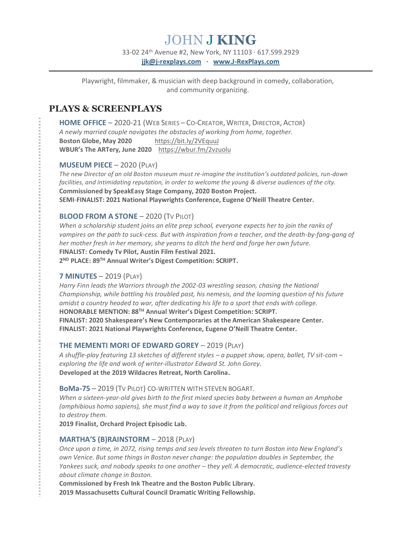# JOHN J **KING**

33-02 24th Avenue #2, New York, NY 11103 · 617.599.2929 **[jjk@j-rexplays.com](mailto:jjk@j-rexplays.com) · [www.J-RexPlays.com](http://www.j-rexplays.com/)**

Playwright, filmmaker, & musician with deep background in comedy, collaboration, and community organizing.

## **PLAYS & SCREENPLAYS**

**HOME OFFICE** – 2020-21 (WEB SERIES – CO-CREATOR,WRITER, DIRECTOR, ACTOR) *A newly married couple navigates the obstacles of working from home, together.* Boston Globe, May 2020 <https://bit.ly/2VEquuJ> **WBUR's The ARTery, June 2020** [https://wbur.fm/2vzuolu](https://wbur.fm/2VzuOLu)

#### **MUSEUM PIECE** – 2020 (PLAY)

*The new Director of an old Boston museum must re-imagine the institution's outdated policies, run-down facilities, and intimidating reputation, in order to welcome the young & diverse audiences of the city.* **Commissioned by SpeakEasy Stage Company, 2020 Boston Project. SEMI**-**FINALIST: 2021 National Playwrights Conference, Eugene O'Neill Theatre Center.**

#### **BLOOD FROM A STONE** – 2020 (TV PILOT)

*When a scholarship student joins an elite prep school, everyone expects her to join the ranks of vampires on the path to suck-cess. But with inspiration from a teacher, and the death-by-fang-gang of her mother fresh in her memory, she yearns to ditch the herd and forge her own future.* **FINALIST: Comedy Tv Pilot, Austin Film Festival 2021. 2 ND PLACE: 89TH Annual Writer's Digest Competition: SCRIPT.**

### **7 MINUTES** – 2019 (PLAY)

*Harry Finn leads the Warriors through the 2002-03 wrestling season, chasing the National Championship, while battling his troubled past, his nemesis, and the looming question of his future amidst a country headed to war, after dedicating his life to a sport that ends with college.* **HONORABLE MENTION: 88TH Annual Writer's Digest Competition: SCRIPT. FINALIST: 2020 Shakespeare's New Contemporaries at the American Shakespeare Center. FINALIST: 2021 National Playwrights Conference, Eugene O'Neill Theatre Center.**

### **THE MEMENTI MORI OF EDWARD GOREY - 2019 (PLAY)**

*A shuffle-play featuring 13 sketches of different styles – a puppet show, opera, ballet, TV sit-com – exploring the life and work of writer-illustrator Edward St. John Gorey.* **Developed at the 2019 Wildacres Retreat, North Carolina.**

#### **BoMa-75** – 2019 (TV PILOT) CO-WRITTEN WITH STEVEN BOGART.

*When a sixteen-year-old gives birth to the first mixed species baby between a human an Amphobe (amphibious homo sapiens), she must find a way to save it from the political and religious forces out to destroy them.*

**2019 Finalist, Orchard Project Episodic Lab.**

### **MARTHA'S (B)RAINSTORM** – 2018 (PLAY)

*Once upon a time, in 2072, rising temps and sea levels threaten to turn Boston into New England's own Venice. But some things in Boston never change: the population doubles in September, the Yankees suck, and nobody speaks to one another – they yell. A democratic, audience-elected travesty about climate change in Boston.*

**Commissioned by Fresh Ink Theatre and the Boston Public Library. 2019 Massachusetts Cultural Council Dramatic Writing Fellowship.**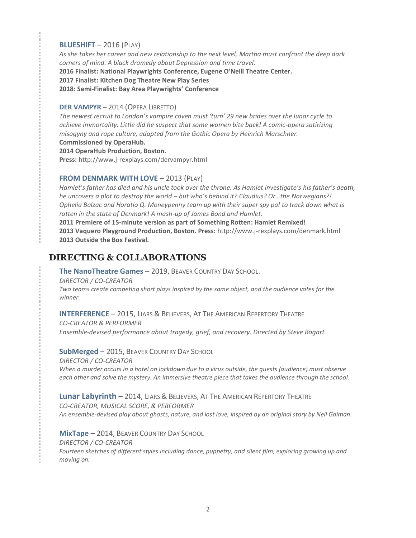### **BLUESHIFT** – 2016 (PLAY)

*As she takes her career and new relationship to the next level, Martha must confront the deep dark corners of mind. A black dramedy about Depression and time travel.* **2016 Finalist: National Playwrights Conference, Eugene O'Neill Theatre Center. 2017 Finalist: Kitchen Dog Theatre New Play Series 2018: Semi-Finalist: Bay Area Playwrights' Conference**

#### **DER VAMPYR** – 2014 (OPERA LIBRETTO)

*The newest recruit to London's vampire coven must 'turn' 29 new brides over the lunar cycle to achieve immortality. Little did he suspect that some women bite back! A comic-opera satirizing misogyny and rape culture, adapted from the Gothic Opera by Heinrich Marschner.*

**Commissioned by OperaHub.**

**2014 OperaHub Production, Boston.** 

**Press:** http://www.j-rexplays.com/dervampyr.html

#### **FROM DENMARK WITH LOVE - 2013 (PLAY)**

*Hamlet's father has died and his uncle took over the throne. As Hamlet investigate's his father's death, he uncovers a plot to destroy the world – but who's behind it? Claudius? Or…the Norwegians?! Ophelia Balzac and Horatio Q. Moneypenny team up with their super spy pal to track down what is rotten in the state of Denmark! A mash-up of James Bond and Hamlet.*

**2011 Premiere of 15-minute version as part of Something Rotten: Hamlet Remixed!**

**2013 Vaquero Playground Production, Boston. Press:** http://www.j-rexplays.com/denmark.html **2013 Outside the Box Festival.**

## **DIRECTING & COLLABORATIONS**

**The NanoTheatre Games** – 2019, BEAVER COUNTRY DAY SCHOOL.

*DIRECTOR / CO-CREATOR*

*Two teams create competing short plays inspired by the same object, and the audience votes for the winner.*

**INTERFERENCE** – 2015, LIARS & BELIEVERS, AT THE AMERICAN REPERTORY THEATRE *CO-CREATOR & PERFORMER*

*Ensemble-devised performance about tragedy, grief, and recovery. Directed by Steve Bogart.*

**SubMerged** – 2015, BEAVER COUNTRY DAY SCHOOL

*DIRECTOR / CO-CREATOR When a murder occurs in a hotel on lockdown due to a virus outside, the guests (audience) must observe each other and solve the mystery. An immersive theatre piece that takes the audience through the school.*

**Lunar Labyrinth** – 2014, LIARS & BELIEVERS, AT THE AMERICAN REPERTORY THEATRE *CO-CREATOR, MUSICAL SCORE, & PERFORMER An ensemble-devised play about ghosts, nature, and lost love, inspired by an original story by Neil Gaiman.*

**MixTape** – 2014, BEAVER COUNTRY DAY SCHOOL *DIRECTOR / CO-CREATOR Fourteen sketches of different styles including dance, puppetry, and silent film, exploring growing up and moving on.*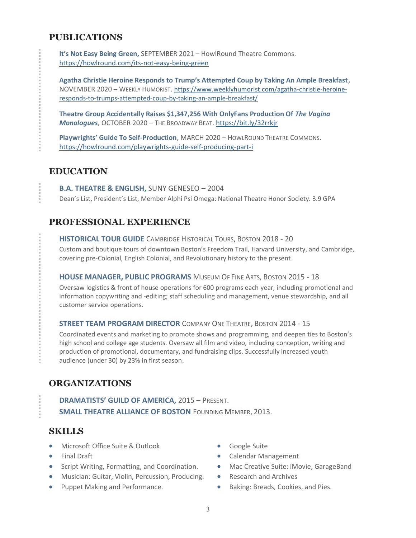# **PUBLICATIONS**

**It's Not Easy Being Green,** SEPTEMBER 2021 – HowlRound Theatre Commons. <https://howlround.com/its-not-easy-being-green>

**Agatha Christie Heroine Responds to Trump's Attempted Coup by Taking An Ample Breakfast,** NOVEMBER 2020 – WEEKLY HUMORIST. [https://www.weeklyhumorist.com/agatha-christie-heroine](https://www.weeklyhumorist.com/agatha-christie-heroine-responds-to-trumps-attempted-coup-by-taking-an-ample-breakfast/)[responds-to-trumps-attempted-coup-by-taking-an-ample-breakfast/](https://www.weeklyhumorist.com/agatha-christie-heroine-responds-to-trumps-attempted-coup-by-taking-an-ample-breakfast/)

**Theatre Group Accidentally Raises \$1,347,256 With OnlyFans Production Of** *The Vagina Monologues***,** OCTOBER 2020 – THE BROADWAY BEAT[. https://bit.ly/32rrkjr](https://bit.ly/32rRKjr)

**Playwrights' Guide To Self-Production,** MARCH 2020 – HOWLROUND THEATRE COMMONS. <https://howlround.com/playwrights-guide-self-producing-part-i>

# **EDUCATION**

**B.A. THEATRE & ENGLISH,** SUNY GENESEO – 2004 Dean's List, President's List, Member Alphi Psi Omega: National Theatre Honor Society. 3.9 GPA

# **PROFESSIONAL EXPERIENCE**

**HISTORICAL TOUR GUIDE** CAMBRIDGE HISTORICAL TOURS, BOSTON 2018 - 20

Custom and boutique tours of downtown Boston's Freedom Trail, Harvard University, and Cambridge, covering pre-Colonial, English Colonial, and Revolutionary history to the present.

### **HOUSE MANAGER, PUBLIC PROGRAMS** MUSEUM OF FINE ARTS, BOSTON 2015 - 18

Oversaw logistics & front of house operations for 600 programs each year, including promotional and information copywriting and -editing; staff scheduling and management, venue stewardship, and all customer service operations.

### **STREET TEAM PROGRAM DIRECTOR** COMPANY ONE THEATRE, BOSTON 2014 - 15

Coordinated events and marketing to promote shows and programming, and deepen ties to Boston's high school and college age students. Oversaw all film and video, including conception, writing and production of promotional, documentary, and fundraising clips. Successfully increased youth audience (under 30) by 23% in first season.

# **ORGANIZATIONS**

**DRAMATISTS' GUILD OF AMERICA,** 2015 – PRESENT. **SMALL THEATRE ALLIANCE OF BOSTON** FOUNDING MEMBER, 2013.

# **SKILLS**

- Microsoft Office Suite & Outlook
- Final Draft
- Script Writing, Formatting, and Coordination.
- Musician: Guitar, Violin, Percussion, Producing.
- Puppet Making and Performance.
- Google Suite
- Calendar Management
- Mac Creative Suite: iMovie, GarageBand
- Research and Archives
- Baking: Breads, Cookies, and Pies.